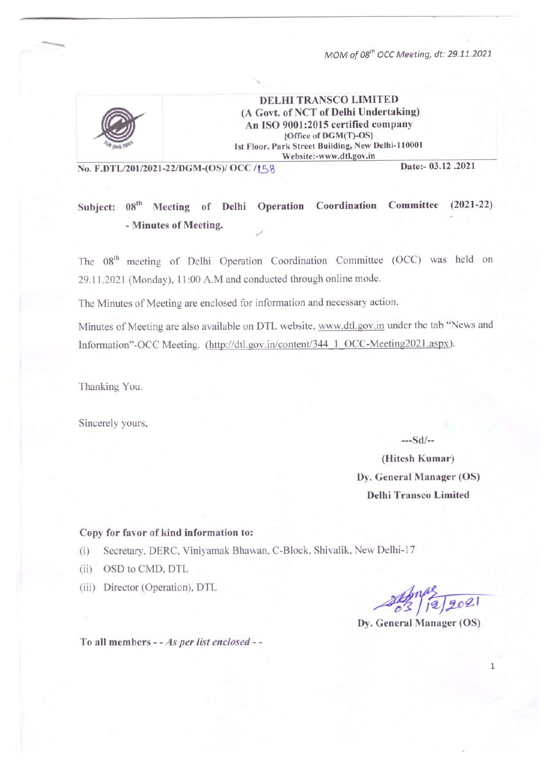

**DELHI TRANSCO LIMITED** (A Govt. of NCT of Delhi Undertaking) An ISO 9001:2015 certified company {Office of DGM(T)-OS} Ist Floor, Park Street Building, New Delhi-110001 Website:-www.dtl.gov.in

No. F.DTL/201/2021-22/DGM-(OS)/ OCC /158

Date:- 03.12.2021

#### Subject: 08<sup>th</sup> Meeting of Delhi Operation Coordination Committee  $(2021 - 22)$ - Minutes of Meeting.

The 08<sup>th</sup> meeting of Delhi Operation Coordination Committee (OCC) was held on 29.11.2021 (Monday), 11:00 A.M and conducted through online mode.

The Minutes of Meeting are enclosed for information and necessary action.

Minutes of Meeting are also available on DTL website, www.dtl.gov.in under the tab "News and Information"-OCC Meeting. (http://dtl.gov.in/content/344 1 OCC-Meeting2021.aspx).

Thanking You.

Sincerely yours,

 $--Sd/-$ 

(Hitesh Kumar) Dv. General Manager (OS) **Delhi Transco Limited** 

#### Copy for favor of kind information to:

Secretary, DERC, Viniyamak Bhawan, C-Block, Shivalik, New Delhi-17  $(i)$ 

- (ii) OSD to CMD, DTL
- (iii) Director (Operation), DTL

 $2|12|202|$ 

Dy. General Manager (OS)

To all members - - As per list enclosed - -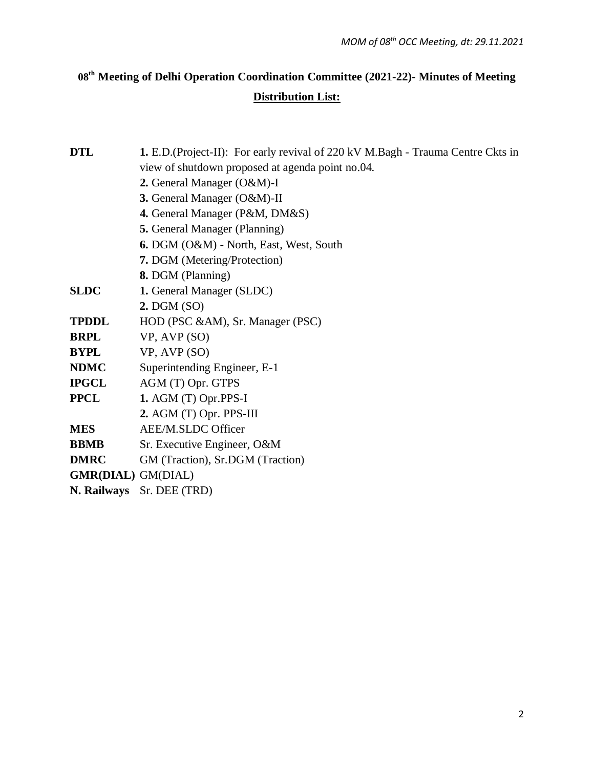# **08 th Meeting of Delhi Operation Coordination Committee (2021-22)- Minutes of Meeting Distribution List:**

| <b>DTL</b>                               | <b>1.</b> E.D. (Project-II): For early revival of 220 kV M. Bagh - Trauma Centre Ckts in |  |  |  |  |  |
|------------------------------------------|------------------------------------------------------------------------------------------|--|--|--|--|--|
|                                          | view of shutdown proposed at agenda point no.04.                                         |  |  |  |  |  |
|                                          |                                                                                          |  |  |  |  |  |
|                                          | 2. General Manager (O&M)-I                                                               |  |  |  |  |  |
| 3. General Manager (O&M)-II              |                                                                                          |  |  |  |  |  |
|                                          | 4. General Manager (P&M, DM&S)                                                           |  |  |  |  |  |
|                                          | 5. General Manager (Planning)                                                            |  |  |  |  |  |
|                                          | 6. DGM (O&M) - North, East, West, South                                                  |  |  |  |  |  |
|                                          | 7. DGM (Metering/Protection)                                                             |  |  |  |  |  |
|                                          | 8. DGM (Planning)                                                                        |  |  |  |  |  |
| <b>SLDC</b><br>1. General Manager (SLDC) |                                                                                          |  |  |  |  |  |
|                                          | 2. DGM (SO)                                                                              |  |  |  |  |  |
| <b>TPDDL</b>                             | HOD (PSC &AM), Sr. Manager (PSC)                                                         |  |  |  |  |  |
| <b>BRPL</b>                              | VP, AVP (SO)                                                                             |  |  |  |  |  |
| <b>BYPL</b>                              | VP, AVP (SO)                                                                             |  |  |  |  |  |
| <b>NDMC</b>                              | Superintending Engineer, E-1                                                             |  |  |  |  |  |
| <b>IPGCL</b>                             | AGM (T) Opr. GTPS                                                                        |  |  |  |  |  |
| <b>PPCL</b>                              | 1. AGM $(T)$ Opr.PPS-I                                                                   |  |  |  |  |  |
|                                          | $2.$ AGM (T) Opr. PPS-III                                                                |  |  |  |  |  |
| <b>MES</b>                               | AEE/M.SLDC Officer                                                                       |  |  |  |  |  |
| <b>BBMB</b>                              | Sr. Executive Engineer, O&M                                                              |  |  |  |  |  |
| <b>DMRC</b>                              | GM (Traction), Sr.DGM (Traction)                                                         |  |  |  |  |  |
| <b>GMR(DIAL)</b> GM(DIAL)                |                                                                                          |  |  |  |  |  |
|                                          | N. Railways Sr. DEE (TRD)                                                                |  |  |  |  |  |
|                                          |                                                                                          |  |  |  |  |  |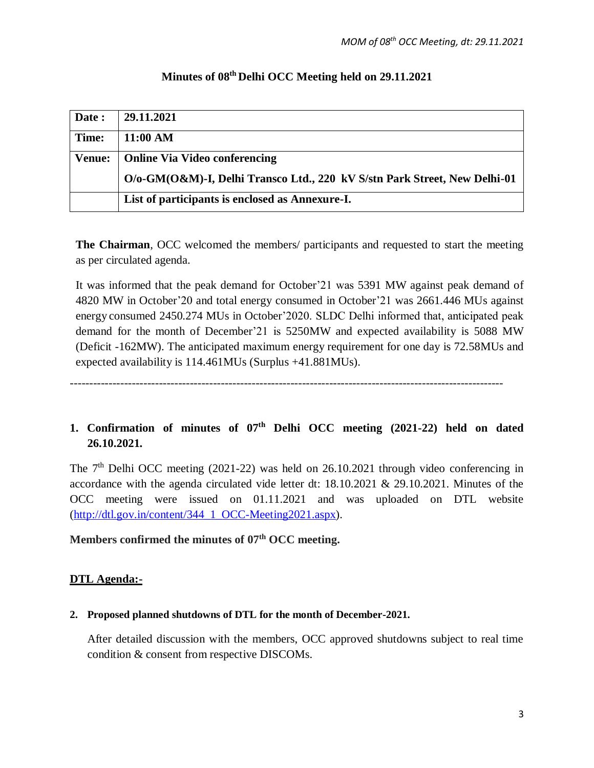| Date :        | 29.11.2021                                                                |
|---------------|---------------------------------------------------------------------------|
| Time:         | 11:00 AM                                                                  |
| <b>Venue:</b> | <b>Online Via Video conferencing</b>                                      |
|               | O/o-GM(O&M)-I, Delhi Transco Ltd., 220 kV S/stn Park Street, New Delhi-01 |
|               | List of participants is enclosed as Annexure-I.                           |

## **Minutes of 08 th Delhi OCC Meeting held on 29.11.2021**

**The Chairman**, OCC welcomed the members/ participants and requested to start the meeting as per circulated agenda.

It was informed that the peak demand for October'21 was 5391 MW against peak demand of 4820 MW in October'20 and total energy consumed in October'21 was 2661.446 MUs against energy consumed 2450.274 MUs in October'2020. SLDC Delhi informed that, anticipated peak demand for the month of December'21 is 5250MW and expected availability is 5088 MW (Deficit -162MW). The anticipated maximum energy requirement for one day is 72.58MUs and expected availability is 114.461MUs (Surplus +41.881MUs).

----------------------------------------------------------------------------------------------------------------

## 1. Confirmation of minutes of  $07<sup>th</sup>$  Delhi OCC meeting (2021-22) held on dated **26.10.2021.**

The  $7<sup>th</sup>$  Delhi OCC meeting (2021-22) was held on 26.10.2021 through video conferencing in accordance with the agenda circulated vide letter dt: 18.10.2021 & 29.10.2021. Minutes of the OCC meeting were issued on 01.11.2021 and was uploaded on DTL website [\(http://dtl.gov.in/content/344\\_1\\_OCC-Meeting2021.aspx\)](http://dtl.gov.in/content/344_1_OCC-Meeting2021.aspx).

#### **Members confirmed the minutes of 07 th OCC meeting.**

## **DTL Agenda:-**

#### **2. Proposed planned shutdowns of DTL for the month of December-2021.**

After detailed discussion with the members, OCC approved shutdowns subject to real time condition & consent from respective DISCOMs.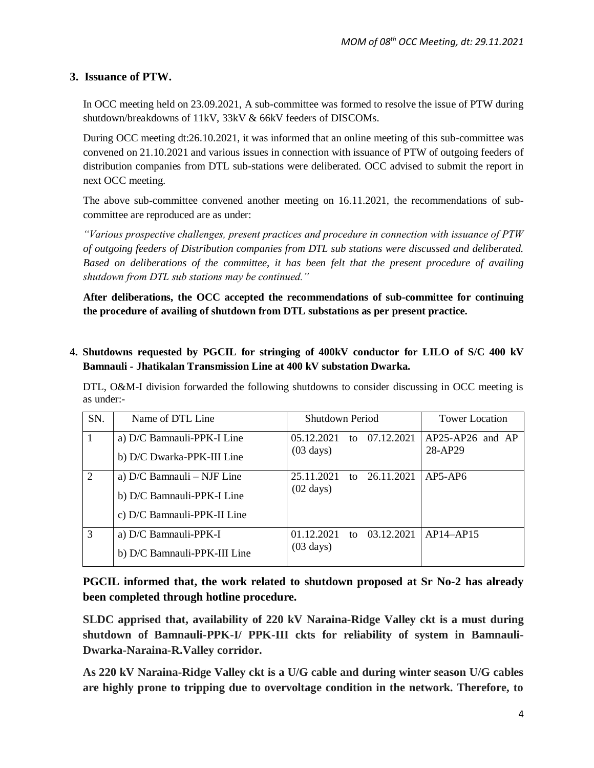#### **3. Issuance of PTW.**

In OCC meeting held on 23.09.2021, A sub-committee was formed to resolve the issue of PTW during shutdown/breakdowns of 11kV, 33kV & 66kV feeders of DISCOMs.

During OCC meeting dt:26.10.2021, it was informed that an online meeting of this sub-committee was convened on 21.10.2021 and various issues in connection with issuance of PTW of outgoing feeders of distribution companies from DTL sub-stations were deliberated. OCC advised to submit the report in next OCC meeting.

The above sub-committee convened another meeting on 16.11.2021, the recommendations of subcommittee are reproduced are as under:

*"Various prospective challenges, present practices and procedure in connection with issuance of PTW of outgoing feeders of Distribution companies from DTL sub stations were discussed and deliberated. Based on deliberations of the committee, it has been felt that the present procedure of availing shutdown from DTL sub stations may be continued."* 

**After deliberations, the OCC accepted the recommendations of sub-committee for continuing the procedure of availing of shutdown from DTL substations as per present practice.** 

#### **4. Shutdowns requested by PGCIL for stringing of 400kV conductor for LILO of S/C 400 kV Bamnauli - Jhatikalan Transmission Line at 400 kV substation Dwarka.**

DTL, O&M-I division forwarded the following shutdowns to consider discussing in OCC meeting is as under:-

| SN.            | Name of DTL Line             | Shutdown Period                | <b>Tower Location</b> |
|----------------|------------------------------|--------------------------------|-----------------------|
|                | a) D/C Bamnauli-PPK-I Line   | 05.12.2021<br>to 07.12.2021    | $AP25-AP26$ and $AP$  |
|                | b) D/C Dwarka-PPK-III Line   | $(03 \text{ days})$            | 28-AP29               |
| $\overline{2}$ | a) $D/C$ Bamnauli – NJF Line | 25.11.2021<br>to 26.11.2021    | $AP5-AP6$             |
|                | b) D/C Bamnauli-PPK-I Line   | $(02 \text{ days})$            |                       |
|                | c) D/C Bamnauli-PPK-II Line  |                                |                       |
| 3              | a) D/C Bamnauli-PPK-I        | 01.12.2021<br>03.12.2021<br>to | $AP14-AP15$           |
|                | b) D/C Bamnauli-PPK-III Line | $(03 \text{ days})$            |                       |

**PGCIL informed that, the work related to shutdown proposed at Sr No-2 has already been completed through hotline procedure.** 

**SLDC apprised that, availability of 220 kV Naraina-Ridge Valley ckt is a must during shutdown of Bamnauli-PPK-I/ PPK-III ckts for reliability of system in Bamnauli-Dwarka-Naraina-R.Valley corridor.** 

**As 220 kV Naraina-Ridge Valley ckt is a U/G cable and during winter season U/G cables are highly prone to tripping due to overvoltage condition in the network. Therefore, to**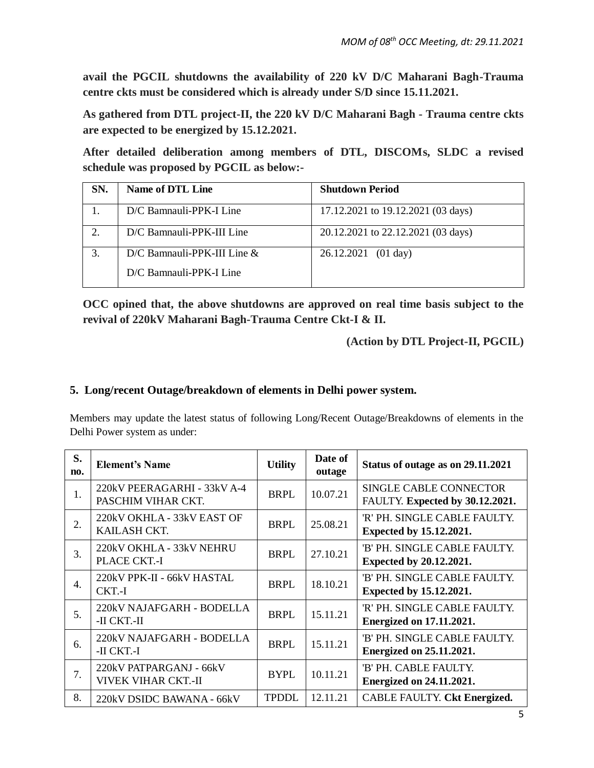**avail the PGCIL shutdowns the availability of 220 kV D/C Maharani Bagh-Trauma centre ckts must be considered which is already under S/D since 15.11.2021.**

**As gathered from DTL project-II, the 220 kV D/C Maharani Bagh - Trauma centre ckts are expected to be energized by 15.12.2021.**

**After detailed deliberation among members of DTL, DISCOMs, SLDC a revised schedule was proposed by PGCIL as below:-**

| SN. | Name of DTL Line            | <b>Shutdown Period</b>             |
|-----|-----------------------------|------------------------------------|
|     | D/C Bamnauli-PPK-I Line     | 17.12.2021 to 19.12.2021 (03 days) |
|     | D/C Bamnauli-PPK-III Line   | 20.12.2021 to 22.12.2021 (03 days) |
|     | D/C Bamnauli-PPK-III Line & | 26.12.2021 (01 day)                |
|     | D/C Bamnauli-PPK-I Line     |                                    |

**OCC opined that, the above shutdowns are approved on real time basis subject to the revival of 220kV Maharani Bagh-Trauma Centre Ckt-I & II.**

**(Action by DTL Project-II, PGCIL)**

## **5. Long/recent Outage/breakdown of elements in Delhi power system.**

Members may update the latest status of following Long/Recent Outage/Breakdowns of elements in the Delhi Power system as under:

| S.<br>no.        | <b>Element's Name</b>                                 | <b>Utility</b> | Date of<br>outage | Status of outage as on 29.11.2021                               |
|------------------|-------------------------------------------------------|----------------|-------------------|-----------------------------------------------------------------|
| 1.               | 220kV PEERAGARHI - 33kV A-4<br>PASCHIM VIHAR CKT.     | <b>BRPL</b>    | 10.07.21          | SINGLE CABLE CONNECTOR<br>FAULTY. Expected by 30.12.2021.       |
| 2.               | 220kV OKHLA - 33kV EAST OF<br>KAILASH CKT.            | <b>BRPL</b>    | 25.08.21          | 'R' PH. SINGLE CABLE FAULTY.<br><b>Expected by 15.12.2021.</b>  |
| 3.               | 220kV OKHLA - 33kV NEHRU<br><b>PLACE CKT.-I</b>       | <b>BRPL</b>    | 27.10.21          | 'B' PH. SINGLE CABLE FAULTY.<br><b>Expected by 20.12.2021.</b>  |
| $\overline{4}$ . | 220kV PPK-II - 66kV HASTAL<br>CKT.-I                  | BRPL           | 18.10.21          | 'B' PH. SINGLE CABLE FAULTY.<br><b>Expected by 15.12.2021.</b>  |
| 5.               | 220kV NAJAFGARH - BODELLA<br>-II CKT.-II              | <b>BRPL</b>    | 15.11.21          | 'R' PH. SINGLE CABLE FAULTY.<br><b>Energized on 17.11.2021.</b> |
| 6.               | 220kV NAJAFGARH - BODELLA<br>-II CKT.-I               | <b>BRPL</b>    | 15.11.21          | 'B' PH. SINGLE CABLE FAULTY.<br><b>Energized on 25.11.2021.</b> |
| 7.               | 220kV PATPARGANJ - 66kV<br><b>VIVEK VIHAR CKT.-II</b> | <b>BYPL</b>    | 10.11.21          | 'B' PH. CABLE FAULTY.<br><b>Energized on 24.11.2021.</b>        |
| 8.               | 220kV DSIDC BAWANA - 66kV                             | <b>TPDDL</b>   | 12.11.21          | CABLE FAULTY. Ckt Energized.                                    |